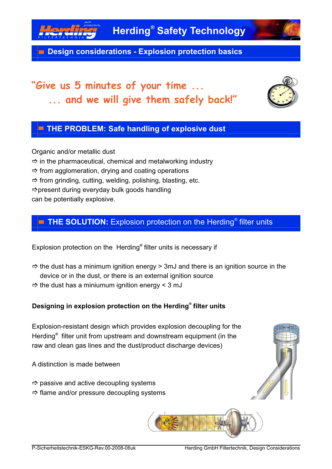

**Design considerations - Explosion protection basics**

# **"Give us 5 minutes of your time ... ... and we will give them safely back!"**



## **THE PROBLEM: Safe handling of explosive dust**

Organic and/or metallic dust  $\Rightarrow$  in the pharmaceutical, chemical and metalworking industry  $\Rightarrow$  from agglomeration, drying and coating operations  $\Rightarrow$  from grinding, cutting, welding, polishing, blasting, etc.  $\Rightarrow$  present during everyday bulk goods handling can be potentially explosive.

### **THE SOLUTION:** Explosion protection on the Herding*®* filter units

Explosion protection on the Herding<sup>®</sup> filter units is necessary if

- $\Rightarrow$  the dust has a minimum ignition energy > 3mJ and there is an ignition source in the device or in the dust, or there is an external ignition source
- $\Rightarrow$  the dust has a miniumum ignition energy < 3 mJ

#### **Designing in explosion protection on the Herding<sup>®</sup> filter units**

Explosion-resistant design which provides explosion decoupling for the Herding<sup>®</sup> filter unit from upstream and downstream equipment (in the raw and clean gas lines and the dust/product discharge devices)

A distinction is made between

- $\Rightarrow$  passive and active decoupling systems
- $\Rightarrow$  flame and/or pressure decoupling systems